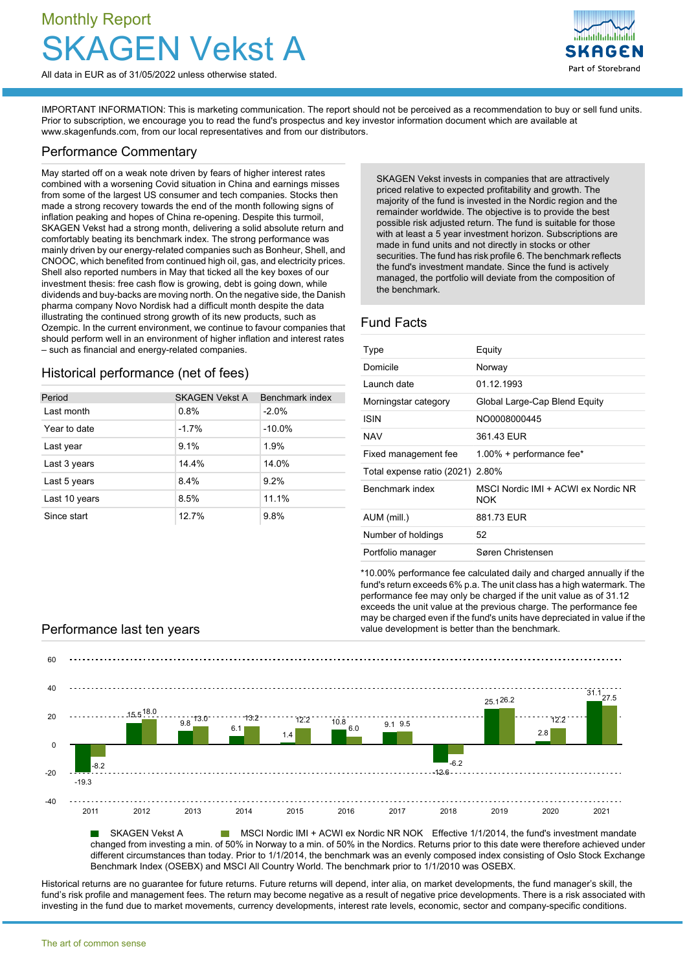# Monthly Report **J** Vekst A

All data in EUR as of 31/05/2022 unless otherwise stated.

Part of Storebrand

IMPORTANT INFORMATION: This is marketing communication. The report should not be perceived as a recommendation to buy or sell fund units. Prior to subscription, we encourage you to read the fund's prospectus and key investor information document which are available at [www.skagenfunds.com](http://www.skagenfunds.com), from our local representatives and from our distributors.

### Performance Commentary

May started off on a weak note driven by fears of higher interest rates combined with a worsening Covid situation in China and earnings misses from some of the largest US consumer and tech companies. Stocks then made a strong recovery towards the end of the month following signs of inflation peaking and hopes of China re-opening. Despite this turmoil, SKAGEN Vekst had a strong month, delivering a solid absolute return and comfortably beating its benchmark index. The strong performance was mainly driven by our energy-related companies such as Bonheur, Shell, and CNOOC, which benefited from continued high oil, gas, and electricity prices. Shell also reported numbers in May that ticked all the key boxes of our investment thesis: free cash flow is growing, debt is going down, while dividends and buy-backs are moving north. On the negative side, the Danish pharma company Novo Nordisk had a difficult month despite the data illustrating the continued strong growth of its new products, such as Ozempic. In the current environment, we continue to favour companies that should perform well in an environment of higher inflation and interest rates – such as financial and energy-related companies.

# Historical performance (net of fees)

| Period        | <b>SKAGEN Vekst A</b> | Benchmark index |
|---------------|-----------------------|-----------------|
| Last month    | 0.8%                  | $-2.0%$         |
| Year to date  | $-1.7%$               | $-10.0%$        |
| Last year     | 9.1%                  | 1.9%            |
| Last 3 years  | 14.4%                 | 14.0%           |
| Last 5 years  | 8.4%                  | 9.2%            |
| Last 10 years | 8.5%                  | 11.1%           |
| Since start   | 12.7%                 | 9.8%            |

SKAGEN Vekst invests in companies that are attractively priced relative to expected profitability and growth. The majority of the fund is invested in the Nordic region and the remainder worldwide. The objective is to provide the best possible risk adjusted return. The fund is suitable for those with at least a 5 year investment horizon. Subscriptions are made in fund units and not directly in stocks or other securities. The fund has risk profile 6. The benchmark reflects the fund's investment mandate. Since the fund is actively managed, the portfolio will deviate from the composition of the benchmark.

## Fund Facts

| Type                       | Equity                                            |
|----------------------------|---------------------------------------------------|
| Domicile                   | Norway                                            |
| Launch date                | 01 12 1993                                        |
| Morningstar category       | Global Large-Cap Blend Equity                     |
| <b>ISIN</b>                | NO0008000445                                      |
| <b>NAV</b>                 | 361.43 EUR                                        |
| Fixed management fee       | $1.00\%$ + performance fee*                       |
| Total expense ratio (2021) | 2.80%                                             |
| Benchmark index            | MSCI Nordic IMI + ACWI ex Nordic NR<br><b>NOK</b> |
| AUM (mill.)                | 881.73 EUR                                        |
| Number of holdings         | 52                                                |
| Portfolio manager          | Søren Christensen                                 |

\*10.00% performance fee calculated daily and charged annually if the fund's return exceeds 6% p.a. The unit class has a high watermark. The performance fee may only be charged if the unit value as of 31.12 exceeds the unit value at the previous charge. The performance fee may be charged even if the fund's units have depreciated in value if the Performance last ten years value development is better than the benchmark.



**MSCI Nordic IMI + ACWI ex Nordic NR NOK Effective 1/1/2014, the fund's investment mandate** changed from investing a min. of 50% in Norway to a min. of 50% in the Nordics. Returns prior to this date were therefore achieved under different circumstances than today. Prior to 1/1/2014, the benchmark was an evenly composed index consisting of Oslo Stock Exchange Benchmark Index (OSEBX) and MSCI All Country World. The benchmark prior to 1/1/2010 was OSEBX.

Historical returns are no guarantee for future returns. Future returns will depend, inter alia, on market developments, the fund manager's skill, the fund's risk profile and management fees. The return may become negative as a result of negative price developments. There is a risk associated with investing in the fund due to market movements, currency developments, interest rate levels, economic, sector and company-specific conditions.